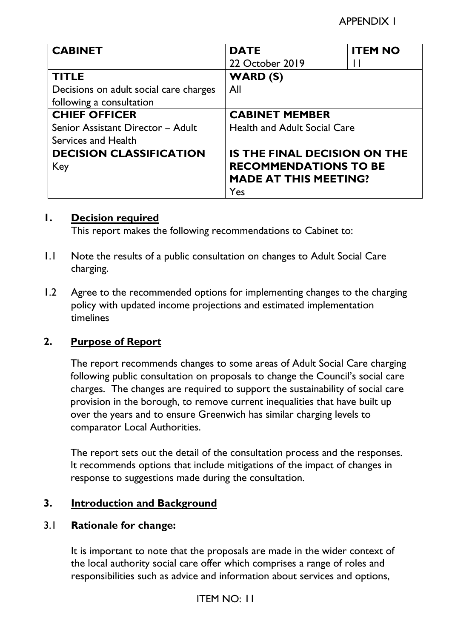| <b>CABINET</b>                         | <b>DATE</b>                         | <b>ITEM NO</b> |
|----------------------------------------|-------------------------------------|----------------|
|                                        | 22 October 2019                     | Ħ              |
| <b>TITLE</b>                           | WARD (S)                            |                |
| Decisions on adult social care charges | All                                 |                |
| following a consultation               |                                     |                |
| <b>CHIEF OFFICER</b>                   | <b>CABINET MEMBER</b>               |                |
| Senior Assistant Director - Adult      | <b>Health and Adult Social Care</b> |                |
| Services and Health                    |                                     |                |
| <b>DECISION CLASSIFICATION</b>         | <b>IS THE FINAL DECISION ON THE</b> |                |
| Key                                    | <b>RECOMMENDATIONS TO BE</b>        |                |
|                                        | <b>MADE AT THIS MEETING?</b>        |                |
|                                        | Yes                                 |                |

#### **1. Decision required**

This report makes the following recommendations to Cabinet to:

- 1.1 Note the results of a public consultation on changes to Adult Social Care charging.
- 1.2 Agree to the recommended options for implementing changes to the charging policy with updated income projections and estimated implementation timelines

## **2. Purpose of Report**

The report recommends changes to some areas of Adult Social Care charging following public consultation on proposals to change the Council's social care charges. The changes are required to support the sustainability of social care provision in the borough, to remove current inequalities that have built up over the years and to ensure Greenwich has similar charging levels to comparator Local Authorities.

The report sets out the detail of the consultation process and the responses. It recommends options that include mitigations of the impact of changes in response to suggestions made during the consultation.

#### **3. Introduction and Background**

#### 3.1 **Rationale for change:**

It is important to note that the proposals are made in the wider context of the local authority social care offer which comprises a range of roles and responsibilities such as advice and information about services and options,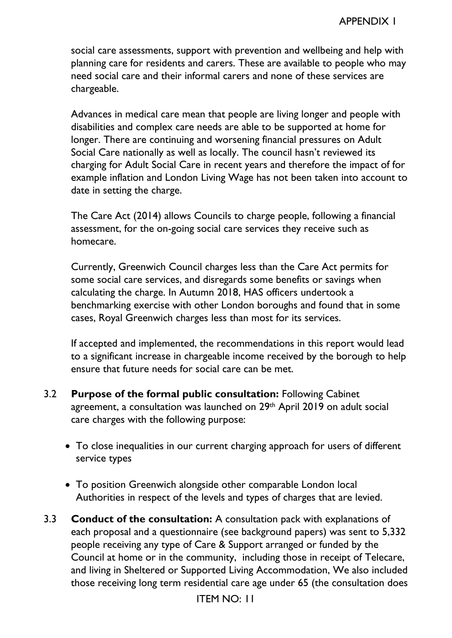social care assessments, support with prevention and wellbeing and help with planning care for residents and carers. These are available to people who may need social care and their informal carers and none of these services are chargeable.

 Advances in medical care mean that people are living longer and people with disabilities and complex care needs are able to be supported at home for longer. There are continuing and worsening financial pressures on Adult Social Care nationally as well as locally. The council hasn't reviewed its charging for Adult Social Care in recent years and therefore the impact of for example inflation and London Living Wage has not been taken into account to date in setting the charge.

The Care Act (2014) allows Councils to charge people, following a financial assessment, for the on-going social care services they receive such as homecare.

Currently, Greenwich Council charges less than the Care Act permits for some social care services, and disregards some benefits or savings when calculating the charge. In Autumn 2018, HAS officers undertook a benchmarking exercise with other London boroughs and found that in some cases, Royal Greenwich charges less than most for its services.

If accepted and implemented, the recommendations in this report would lead to a significant increase in chargeable income received by the borough to help ensure that future needs for social care can be met.

- 3.2 **Purpose of the formal public consultation:** Following Cabinet agreement, a consultation was launched on 29th April 2019 on adult social care charges with the following purpose:
	- To close inequalities in our current charging approach for users of different service types
	- To position Greenwich alongside other comparable London local Authorities in respect of the levels and types of charges that are levied.
- 3.3 **Conduct of the consultation:** A consultation pack with explanations of each proposal and a questionnaire (see background papers) was sent to 5,332 people receiving any type of Care & Support arranged or funded by the Council at home or in the community, including those in receipt of Telecare, and living in Sheltered or Supported Living Accommodation, We also included those receiving long term residential care age under 65 (the consultation does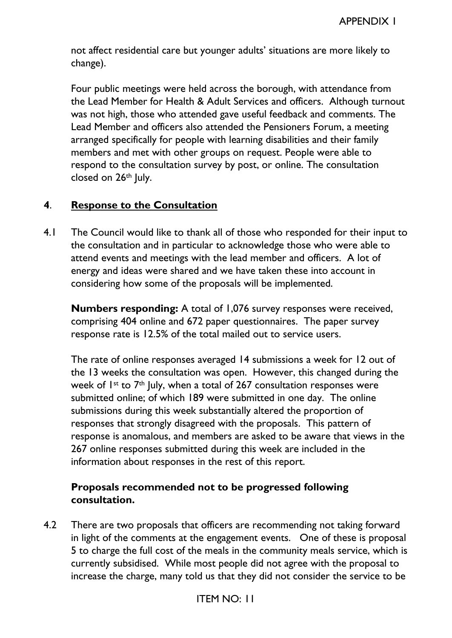not affect residential care but younger adults' situations are more likely to change).

Four public meetings were held across the borough, with attendance from the Lead Member for Health & Adult Services and officers. Although turnout was not high, those who attended gave useful feedback and comments. The Lead Member and officers also attended the Pensioners Forum, a meeting arranged specifically for people with learning disabilities and their family members and met with other groups on request. People were able to respond to the consultation survey by post, or online. The consultation closed on 26<sup>th</sup> July.

## **4**. **Response to the Consultation**

4.1 The Council would like to thank all of those who responded for their input to the consultation and in particular to acknowledge those who were able to attend events and meetings with the lead member and officers. A lot of energy and ideas were shared and we have taken these into account in considering how some of the proposals will be implemented.

**Numbers responding:** A total of 1,076 survey responses were received, comprising 404 online and 672 paper questionnaires. The paper survey response rate is 12.5% of the total mailed out to service users.

The rate of online responses averaged 14 submissions a week for 12 out of the 13 weeks the consultation was open. However, this changed during the week of  $1^{st}$  to  $7^{th}$  July, when a total of 267 consultation responses were submitted online; of which 189 were submitted in one day. The online submissions during this week substantially altered the proportion of responses that strongly disagreed with the proposals. This pattern of response is anomalous, and members are asked to be aware that views in the 267 online responses submitted during this week are included in the information about responses in the rest of this report.

## **Proposals recommended not to be progressed following consultation.**

4.2 There are two proposals that officers are recommending not taking forward in light of the comments at the engagement events. One of these is proposal 5 to charge the full cost of the meals in the community meals service, which is currently subsidised. While most people did not agree with the proposal to increase the charge, many told us that they did not consider the service to be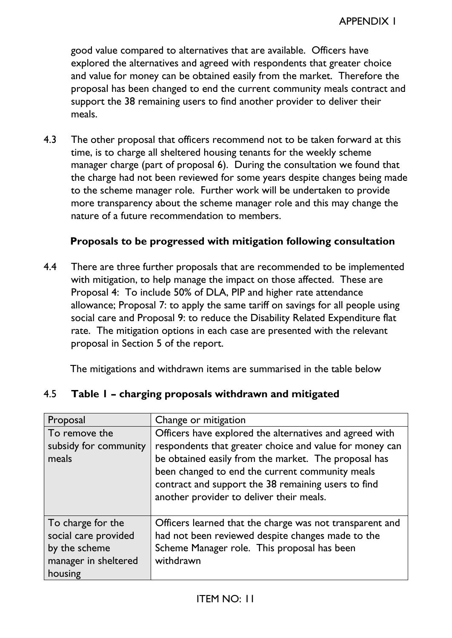good value compared to alternatives that are available. Officers have explored the alternatives and agreed with respondents that greater choice and value for money can be obtained easily from the market. Therefore the proposal has been changed to end the current community meals contract and support the 38 remaining users to find another provider to deliver their meals.

4.3 The other proposal that officers recommend not to be taken forward at this time, is to charge all sheltered housing tenants for the weekly scheme manager charge (part of proposal 6). During the consultation we found that the charge had not been reviewed for some years despite changes being made to the scheme manager role. Further work will be undertaken to provide more transparency about the scheme manager role and this may change the nature of a future recommendation to members.

#### **Proposals to be progressed with mitigation following consultation**

4.4 There are three further proposals that are recommended to be implemented with mitigation, to help manage the impact on those affected. These are Proposal 4: To include 50% of DLA, PIP and higher rate attendance allowance; Proposal 7: to apply the same tariff on savings for all people using social care and Proposal 9: to reduce the Disability Related Expenditure flat rate. The mitigation options in each case are presented with the relevant proposal in Section 5 of the report.

The mitigations and withdrawn items are summarised in the table below

| Proposal                                                                                      | Change or mitigation                                                                                                                                                                                                                                                                                                             |
|-----------------------------------------------------------------------------------------------|----------------------------------------------------------------------------------------------------------------------------------------------------------------------------------------------------------------------------------------------------------------------------------------------------------------------------------|
| To remove the<br>subsidy for community<br>meals                                               | Officers have explored the alternatives and agreed with<br>respondents that greater choice and value for money can<br>be obtained easily from the market. The proposal has<br>been changed to end the current community meals<br>contract and support the 38 remaining users to find<br>another provider to deliver their meals. |
| To charge for the<br>social care provided<br>by the scheme<br>manager in sheltered<br>housing | Officers learned that the charge was not transparent and<br>had not been reviewed despite changes made to the<br>Scheme Manager role. This proposal has been<br>withdrawn                                                                                                                                                        |

## 4.5 **Table 1 – charging proposals withdrawn and mitigated**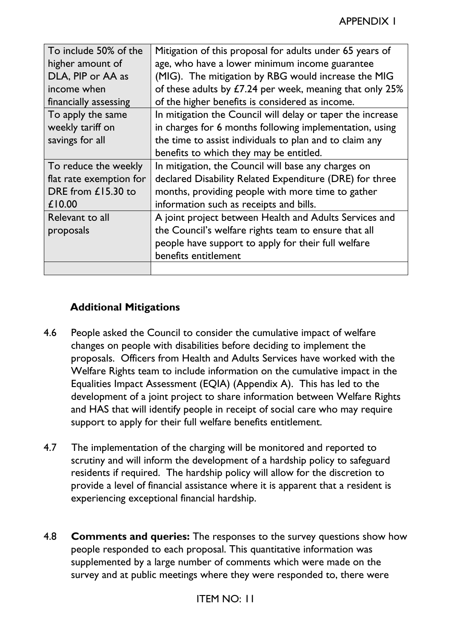| To include 50% of the<br>higher amount of | Mitigation of this proposal for adults under 65 years of<br>age, who have a lower minimum income guarantee |
|-------------------------------------------|------------------------------------------------------------------------------------------------------------|
|                                           |                                                                                                            |
| DLA, PIP or AA as                         | (MIG). The mitigation by RBG would increase the MIG                                                        |
| income when                               | of these adults by £7.24 per week, meaning that only 25%                                                   |
| financially assessing                     | of the higher benefits is considered as income.                                                            |
| To apply the same                         | In mitigation the Council will delay or taper the increase                                                 |
| weekly tariff on                          | in charges for 6 months following implementation, using                                                    |
| savings for all                           | the time to assist individuals to plan and to claim any                                                    |
|                                           | benefits to which they may be entitled.                                                                    |
| To reduce the weekly                      | In mitigation, the Council will base any charges on                                                        |
| flat rate exemption for                   | declared Disability Related Expenditure (DRE) for three                                                    |
| DRE from £15.30 to                        | months, providing people with more time to gather                                                          |
| £10.00                                    | information such as receipts and bills.                                                                    |
| Relevant to all                           | A joint project between Health and Adults Services and                                                     |
| proposals                                 | the Council's welfare rights team to ensure that all                                                       |
|                                           | people have support to apply for their full welfare                                                        |
|                                           | benefits entitlement                                                                                       |
|                                           |                                                                                                            |

## **Additional Mitigations**

- 4.6 People asked the Council to consider the cumulative impact of welfare changes on people with disabilities before deciding to implement the proposals. Officers from Health and Adults Services have worked with the Welfare Rights team to include information on the cumulative impact in the Equalities Impact Assessment (EQIA) (Appendix A). This has led to the development of a joint project to share information between Welfare Rights and HAS that will identify people in receipt of social care who may require support to apply for their full welfare benefits entitlement.
- 4.7 The implementation of the charging will be monitored and reported to scrutiny and will inform the development of a hardship policy to safeguard residents if required. The hardship policy will allow for the discretion to provide a level of financial assistance where it is apparent that a resident is experiencing exceptional financial hardship.
- 4.8 **Comments and queries:** The responses to the survey questions show how people responded to each proposal. This quantitative information was supplemented by a large number of comments which were made on the survey and at public meetings where they were responded to, there were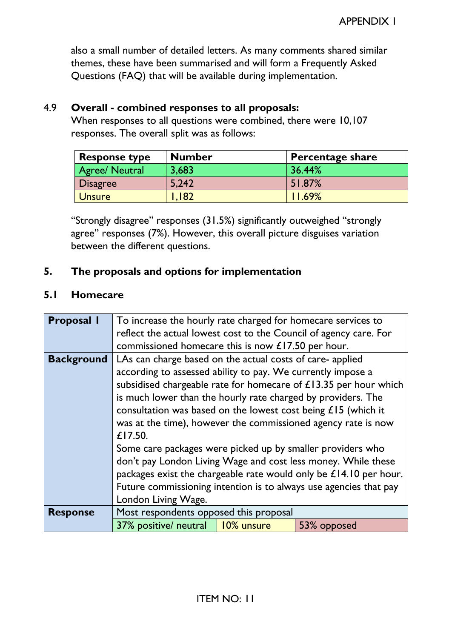also a small number of detailed letters. As many comments shared similar themes, these have been summarised and will form a Frequently Asked Questions (FAQ) that will be available during implementation.

## 4.9 **Overall - combined responses to all proposals:**

When responses to all questions were combined, there were 10,107 responses. The overall split was as follows:

| <b>Response type</b>  | <b>Number</b> | <b>Percentage share</b> |
|-----------------------|---------------|-------------------------|
| <b>Agree/ Neutral</b> | 3,683         | 36.44%                  |
| <b>Disagree</b>       | 5,242         | 51.87%                  |
| <b>Unsure</b>         | I.I82         | 11.69%                  |

"Strongly disagree" responses (31.5%) significantly outweighed "strongly agree" responses (7%). However, this overall picture disguises variation between the different questions.

## **5. The proposals and options for implementation**

#### **5.1 Homecare**

| <b>Proposal I</b> | To increase the hourly rate charged for homecare services to      |            |                                                                  |  |
|-------------------|-------------------------------------------------------------------|------------|------------------------------------------------------------------|--|
|                   | reflect the actual lowest cost to the Council of agency care. For |            |                                                                  |  |
|                   | commissioned homecare this is now £17.50 per hour.                |            |                                                                  |  |
| <b>Background</b> | LAs can charge based on the actual costs of care-applied          |            |                                                                  |  |
|                   | according to assessed ability to pay. We currently impose a       |            |                                                                  |  |
|                   |                                                                   |            | subsidised chargeable rate for homecare of £13.35 per hour which |  |
|                   | is much lower than the hourly rate charged by providers. The      |            |                                                                  |  |
|                   | consultation was based on the lowest cost being $£15$ (which it   |            |                                                                  |  |
|                   | was at the time), however the commissioned agency rate is now     |            |                                                                  |  |
|                   | £17.50.                                                           |            |                                                                  |  |
|                   | Some care packages were picked up by smaller providers who        |            |                                                                  |  |
|                   | don't pay London Living Wage and cost less money. While these     |            |                                                                  |  |
|                   | packages exist the chargeable rate would only be £14.10 per hour. |            |                                                                  |  |
|                   | Future commissioning intention is to always use agencies that pay |            |                                                                  |  |
|                   | London Living Wage.                                               |            |                                                                  |  |
| <b>Response</b>   | Most respondents opposed this proposal                            |            |                                                                  |  |
|                   | 37% positive/ neutral                                             | 10% unsure | 53% opposed                                                      |  |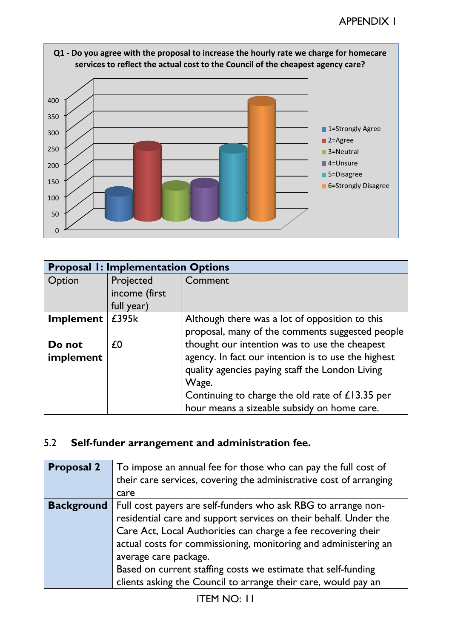

| Q1 - Do you agree with the proposal to increase the hourly rate we charge for homecare |
|----------------------------------------------------------------------------------------|
| services to reflect the actual cost to the Council of the cheapest agency care?        |

| <b>Proposal I: Implementation Options</b> |               |                                                     |  |
|-------------------------------------------|---------------|-----------------------------------------------------|--|
| Option                                    | Projected     | Comment                                             |  |
|                                           | income (first |                                                     |  |
|                                           | full year)    |                                                     |  |
| Implement                                 | £395k         | Although there was a lot of opposition to this      |  |
|                                           |               | proposal, many of the comments suggested people     |  |
| Do not                                    | £0            | thought our intention was to use the cheapest       |  |
| implement                                 |               | agency. In fact our intention is to use the highest |  |
|                                           |               | quality agencies paying staff the London Living     |  |
|                                           |               | Wage.                                               |  |
|                                           |               | Continuing to charge the old rate of £13.35 per     |  |
|                                           |               | hour means a sizeable subsidy on home care.         |  |

# 5.2 **Self-funder arrangement and administration fee.**

| <b>Proposal 2</b> | To impose an annual fee for those who can pay the full cost of<br>their care services, covering the administrative cost of arranging<br>care                                                                                                                                                                                                                                                                                      |
|-------------------|-----------------------------------------------------------------------------------------------------------------------------------------------------------------------------------------------------------------------------------------------------------------------------------------------------------------------------------------------------------------------------------------------------------------------------------|
| <b>Background</b> | Full cost payers are self-funders who ask RBG to arrange non-<br>residential care and support services on their behalf. Under the<br>Care Act, Local Authorities can charge a fee recovering their<br>actual costs for commissioning, monitoring and administering an<br>average care package.<br>Based on current staffing costs we estimate that self-funding<br>clients asking the Council to arrange their care, would pay an |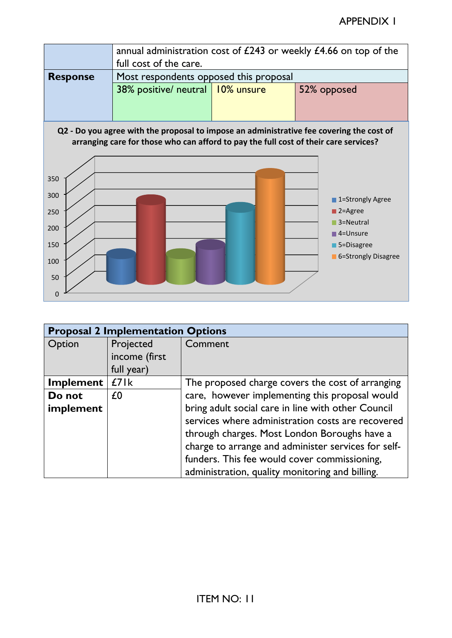

#### **Q2 - Do you agree with the proposal to impose an administrative fee covering the cost of arranging care for those who can afford to pay the full cost of their care services?**



|           | <b>Proposal 2 Implementation Options</b> |                                                     |  |
|-----------|------------------------------------------|-----------------------------------------------------|--|
| Option    | Projected                                | Comment                                             |  |
|           | income (first                            |                                                     |  |
|           | full year)                               |                                                     |  |
| Implement | £71k                                     | The proposed charge covers the cost of arranging    |  |
| Do not    | £0                                       | care, however implementing this proposal would      |  |
| implement |                                          | bring adult social care in line with other Council  |  |
|           |                                          | services where administration costs are recovered   |  |
|           |                                          | through charges. Most London Boroughs have a        |  |
|           |                                          | charge to arrange and administer services for self- |  |
|           |                                          | funders. This fee would cover commissioning,        |  |
|           |                                          | administration, quality monitoring and billing.     |  |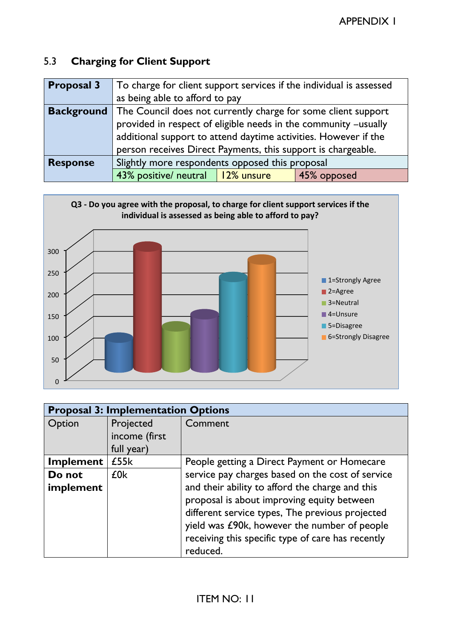# 5.3 **Charging for Client Support**

| <b>Proposal 3</b> | To charge for client support services if the individual is assessed |  |             |  |
|-------------------|---------------------------------------------------------------------|--|-------------|--|
|                   | as being able to afford to pay                                      |  |             |  |
| <b>Background</b> | The Council does not currently charge for some client support       |  |             |  |
|                   | provided in respect of eligible needs in the community -usually     |  |             |  |
|                   | additional support to attend daytime activities. However if the     |  |             |  |
|                   | person receives Direct Payments, this support is chargeable.        |  |             |  |
| <b>Response</b>   | Slightly more respondents opposed this proposal                     |  |             |  |
|                   | 43% positive/ neutral   12% unsure                                  |  | 45% opposed |  |



| <b>Proposal 3: Implementation Options</b> |                 |                                                   |  |
|-------------------------------------------|-----------------|---------------------------------------------------|--|
| Option                                    | Projected       | Comment                                           |  |
|                                           | income (first   |                                                   |  |
|                                           | full year)      |                                                   |  |
| Implement                                 | £55k            | People getting a Direct Payment or Homecare       |  |
| Do not                                    | £0 <sub>k</sub> | service pay charges based on the cost of service  |  |
| implement                                 |                 | and their ability to afford the charge and this   |  |
|                                           |                 | proposal is about improving equity between        |  |
|                                           |                 | different service types, The previous projected   |  |
|                                           |                 | yield was £90k, however the number of people      |  |
|                                           |                 | receiving this specific type of care has recently |  |
|                                           |                 | reduced.                                          |  |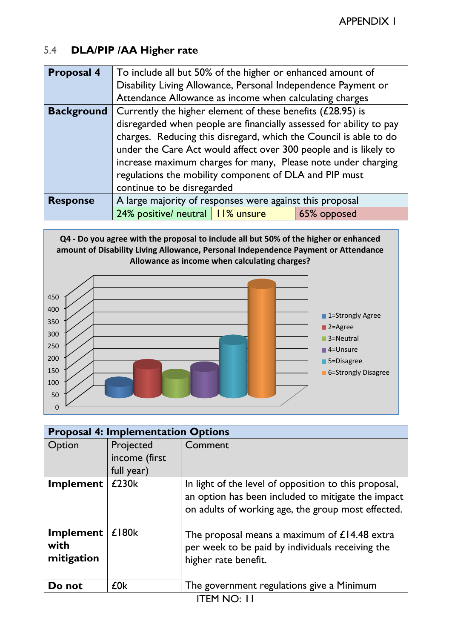## 5.4 **DLA/PIP /AA Higher rate**

| <b>Proposal 4</b> | To include all but 50% of the higher or enhanced amount of        |  |                                                                     |  |
|-------------------|-------------------------------------------------------------------|--|---------------------------------------------------------------------|--|
|                   | Disability Living Allowance, Personal Independence Payment or     |  |                                                                     |  |
|                   | Attendance Allowance as income when calculating charges           |  |                                                                     |  |
| <b>Background</b> | Currently the higher element of these benefits $(£28.95)$ is      |  |                                                                     |  |
|                   |                                                                   |  | disregarded when people are financially assessed for ability to pay |  |
|                   | charges. Reducing this disregard, which the Council is able to do |  |                                                                     |  |
|                   | under the Care Act would affect over 300 people and is likely to  |  |                                                                     |  |
|                   | increase maximum charges for many, Please note under charging     |  |                                                                     |  |
|                   | regulations the mobility component of DLA and PIP must            |  |                                                                     |  |
|                   | continue to be disregarded                                        |  |                                                                     |  |
| <b>Response</b>   | A large majority of responses were against this proposal          |  |                                                                     |  |
|                   | 24% positive/ neutral   11% unsure                                |  | 65% opposed                                                         |  |

**Q4 - Do you agree with the proposal to include all but 50% of the higher or enhanced amount of Disability Living Allowance, Personal Independence Payment or Attendance Allowance as income when calculating charges?**



|                                 | <b>Proposal 4: Implementation Options</b> |                                                                                                                                                                   |  |
|---------------------------------|-------------------------------------------|-------------------------------------------------------------------------------------------------------------------------------------------------------------------|--|
| Option                          | Projected<br>income (first<br>full year)  | Comment                                                                                                                                                           |  |
| Implement                       | £230k                                     | In light of the level of opposition to this proposal,<br>an option has been included to mitigate the impact<br>on adults of working age, the group most effected. |  |
| Implement<br>with<br>mitigation | $£$ 180 $k$                               | The proposal means a maximum of $£14.48$ extra<br>per week to be paid by individuals receiving the<br>higher rate benefit.                                        |  |
| Do not                          | £0k                                       | The government regulations give a Minimum                                                                                                                         |  |
| <b>ITEM NO: 11</b>              |                                           |                                                                                                                                                                   |  |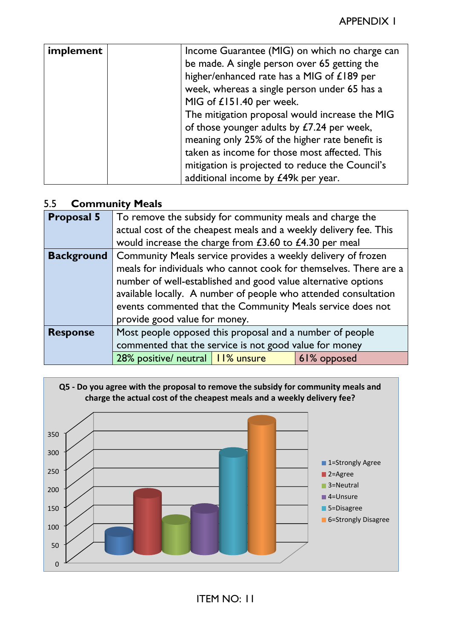| implement | Income Guarantee (MIG) on which no charge can<br>be made. A single person over 65 getting the<br>higher/enhanced rate has a MIG of £189 per |
|-----------|---------------------------------------------------------------------------------------------------------------------------------------------|
|           | week, whereas a single person under 65 has a                                                                                                |
|           | MIG of £151.40 per week.                                                                                                                    |
|           | The mitigation proposal would increase the MIG                                                                                              |
|           | of those younger adults by £7.24 per week,                                                                                                  |
|           | meaning only 25% of the higher rate benefit is                                                                                              |
|           | taken as income for those most affected. This                                                                                               |
|           | mitigation is projected to reduce the Council's                                                                                             |
|           | additional income by £49k per year.                                                                                                         |

#### 5.5 **Community Meals**

| <b>Proposal 5</b> | To remove the subsidy for community meals and charge the          |  |  |
|-------------------|-------------------------------------------------------------------|--|--|
|                   | actual cost of the cheapest meals and a weekly delivery fee. This |  |  |
|                   | would increase the charge from £3.60 to £4.30 per meal            |  |  |
| <b>Background</b> | Community Meals service provides a weekly delivery of frozen      |  |  |
|                   | meals for individuals who cannot cook for themselves. There are a |  |  |
|                   | number of well-established and good value alternative options     |  |  |
|                   | available locally. A number of people who attended consultation   |  |  |
|                   | events commented that the Community Meals service does not        |  |  |
|                   | provide good value for money.                                     |  |  |
| <b>Response</b>   | Most people opposed this proposal and a number of people          |  |  |
|                   | commented that the service is not good value for money            |  |  |
|                   | 28% positive/ neutral  <br>II% unsure<br>61% opposed              |  |  |

**Q5 - Do you agree with the proposal to remove the subsidy for community meals and charge the actual cost of the cheapest meals and a weekly delivery fee?**

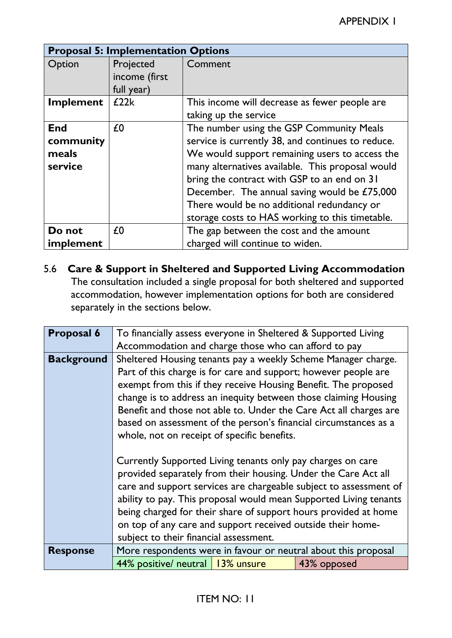|                                             | <b>Proposal 5: Implementation Options</b> |                                                                                                                                                                                                                                                                                                                                                                                                     |  |
|---------------------------------------------|-------------------------------------------|-----------------------------------------------------------------------------------------------------------------------------------------------------------------------------------------------------------------------------------------------------------------------------------------------------------------------------------------------------------------------------------------------------|--|
| Option                                      | Projected<br>income (first<br>full year)  | Comment                                                                                                                                                                                                                                                                                                                                                                                             |  |
| <b>Implement</b>                            | £22k                                      | This income will decrease as fewer people are<br>taking up the service                                                                                                                                                                                                                                                                                                                              |  |
| <b>End</b><br>community<br>meals<br>service | £0                                        | The number using the GSP Community Meals<br>service is currently 38, and continues to reduce.<br>We would support remaining users to access the<br>many alternatives available. This proposal would<br>bring the contract with GSP to an end on 31<br>December. The annual saving would be £75,000<br>There would be no additional redundancy or<br>storage costs to HAS working to this timetable. |  |
| Do not<br>implement                         | £0                                        | The gap between the cost and the amount<br>charged will continue to widen.                                                                                                                                                                                                                                                                                                                          |  |

5.6 **Care & Support in Sheltered and Supported Living Accommodation** The consultation included a single proposal for both sheltered and supported accommodation, however implementation options for both are considered separately in the sections below.

| <b>Proposal 6</b> | To financially assess everyone in Sheltered & Supported Living    |  |  |  |  |
|-------------------|-------------------------------------------------------------------|--|--|--|--|
|                   | Accommodation and charge those who can afford to pay              |  |  |  |  |
| <b>Background</b> | Sheltered Housing tenants pay a weekly Scheme Manager charge.     |  |  |  |  |
|                   | Part of this charge is for care and support; however people are   |  |  |  |  |
|                   | exempt from this if they receive Housing Benefit. The proposed    |  |  |  |  |
|                   | change is to address an inequity between those claiming Housing   |  |  |  |  |
|                   | Benefit and those not able to. Under the Care Act all charges are |  |  |  |  |
|                   | based on assessment of the person's financial circumstances as a  |  |  |  |  |
|                   | whole, not on receipt of specific benefits.                       |  |  |  |  |
|                   |                                                                   |  |  |  |  |
|                   | Currently Supported Living tenants only pay charges on care       |  |  |  |  |
|                   | provided separately from their housing. Under the Care Act all    |  |  |  |  |
|                   | care and support services are chargeable subject to assessment of |  |  |  |  |
|                   | ability to pay. This proposal would mean Supported Living tenants |  |  |  |  |
|                   | being charged for their share of support hours provided at home   |  |  |  |  |
|                   | on top of any care and support received outside their home-       |  |  |  |  |
|                   | subject to their financial assessment.                            |  |  |  |  |
| <b>Response</b>   | More respondents were in favour or neutral about this proposal    |  |  |  |  |
|                   | 44% positive/ neutral<br>13% unsure<br>43% opposed                |  |  |  |  |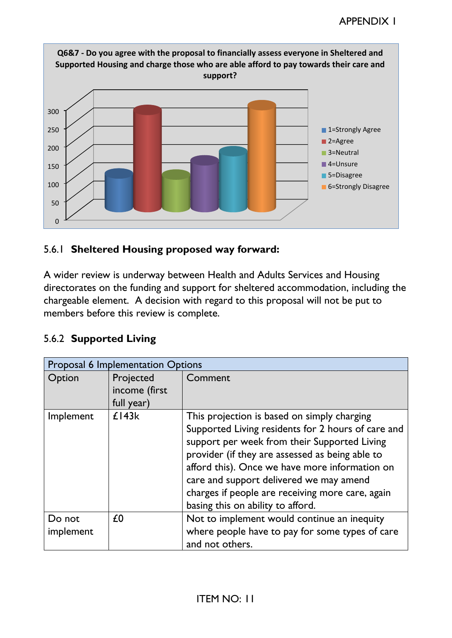

## 5.6.1 **Sheltered Housing proposed way forward:**

A wider review is underway between Health and Adults Services and Housing directorates on the funding and support for sheltered accommodation, including the chargeable element. A decision with regard to this proposal will not be put to members before this review is complete.

## 5.6.2 **Supported Living**

| <b>Proposal 6 Implementation Options</b> |                                          |                                                                                                                                                                                                                                                                                                                                                                                            |
|------------------------------------------|------------------------------------------|--------------------------------------------------------------------------------------------------------------------------------------------------------------------------------------------------------------------------------------------------------------------------------------------------------------------------------------------------------------------------------------------|
| Option                                   | Projected<br>income (first<br>full year) | Comment                                                                                                                                                                                                                                                                                                                                                                                    |
| Implement                                | £143k                                    | This projection is based on simply charging<br>Supported Living residents for 2 hours of care and<br>support per week from their Supported Living<br>provider (if they are assessed as being able to<br>afford this). Once we have more information on<br>care and support delivered we may amend<br>charges if people are receiving more care, again<br>basing this on ability to afford. |
| Do not<br>implement                      | £0                                       | Not to implement would continue an inequity<br>where people have to pay for some types of care<br>and not others.                                                                                                                                                                                                                                                                          |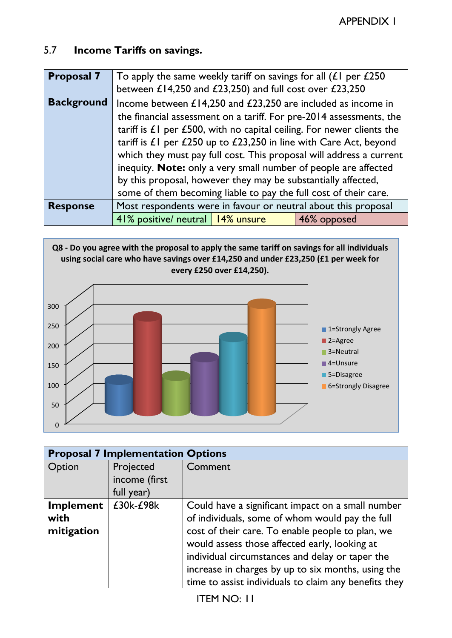## 5.7 **Income Tariffs on savings.**

| <b>Proposal 7</b> | To apply the same weekly tariff on savings for all $(L)$ per $L250$<br>between £14,250 and £23,250) and full cost over £23,250 |  |                                                                                                                                                                                                                                                                                                                                                                                                                                                                                                                                |  |
|-------------------|--------------------------------------------------------------------------------------------------------------------------------|--|--------------------------------------------------------------------------------------------------------------------------------------------------------------------------------------------------------------------------------------------------------------------------------------------------------------------------------------------------------------------------------------------------------------------------------------------------------------------------------------------------------------------------------|--|
| <b>Background</b> | by this proposal, however they may be substantially affected,                                                                  |  | Income between $£14,250$ and $£23,250$ are included as income in<br>the financial assessment on a tariff. For pre-2014 assessments, the<br>tariff is $E1$ per £500, with no capital ceiling. For newer clients the<br>tariff is $\pounds$ per $\pounds$ 250 up to $\pounds$ 23,250 in line with Care Act, beyond<br>which they must pay full cost. This proposal will address a current<br>inequity. Note: only a very small number of people are affected<br>some of them becoming liable to pay the full cost of their care. |  |
| <b>Response</b>   |                                                                                                                                |  | Most respondents were in favour or neutral about this proposal                                                                                                                                                                                                                                                                                                                                                                                                                                                                 |  |
|                   | 41% positive/ neutral   14% unsure                                                                                             |  | 46% opposed                                                                                                                                                                                                                                                                                                                                                                                                                                                                                                                    |  |



| <b>Proposal 7 Implementation Options</b> |               |                                                                                                                                                                                                                                                              |
|------------------------------------------|---------------|--------------------------------------------------------------------------------------------------------------------------------------------------------------------------------------------------------------------------------------------------------------|
| Option                                   | Projected     | Comment                                                                                                                                                                                                                                                      |
|                                          | income (first |                                                                                                                                                                                                                                                              |
|                                          | full year)    |                                                                                                                                                                                                                                                              |
| <b>Implement</b><br>with<br>mitigation   | £30k-£98k     | Could have a significant impact on a small number<br>of individuals, some of whom would pay the full<br>cost of their care. To enable people to plan, we<br>would assess those affected early, looking at<br>individual circumstances and delay or taper the |
|                                          |               | increase in charges by up to six months, using the<br>time to assist individuals to claim any benefits they                                                                                                                                                  |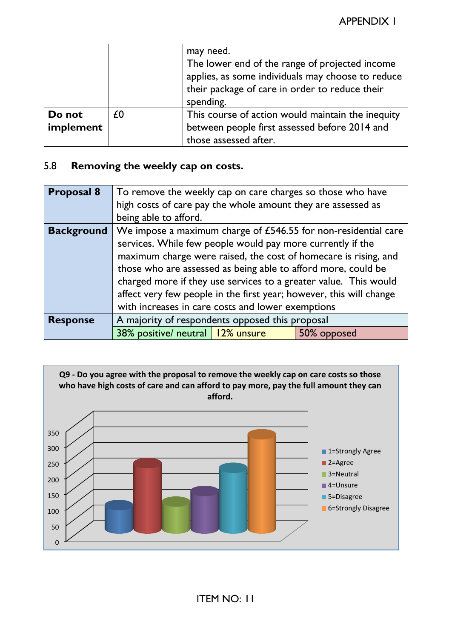|                     |    | may need.<br>The lower end of the range of projected income<br>applies, as some individuals may choose to reduce<br>their package of care in order to reduce their<br>spending. |
|---------------------|----|---------------------------------------------------------------------------------------------------------------------------------------------------------------------------------|
| Do not<br>implement | £0 | This course of action would maintain the inequity<br>between people first assessed before 2014 and                                                                              |
|                     |    | those assessed after.                                                                                                                                                           |

## 5.8 **Removing the weekly cap on costs.**

| <b>Proposal 8</b> | To remove the weekly cap on care charges so those who have          |  |  |
|-------------------|---------------------------------------------------------------------|--|--|
|                   | high costs of care pay the whole amount they are assessed as        |  |  |
|                   | being able to afford.                                               |  |  |
| <b>Background</b> | We impose a maximum charge of £546.55 for non-residential care      |  |  |
|                   | services. While few people would pay more currently if the          |  |  |
|                   | maximum charge were raised, the cost of homecare is rising, and     |  |  |
|                   | those who are assessed as being able to afford more, could be       |  |  |
|                   | charged more if they use services to a greater value. This would    |  |  |
|                   | affect very few people in the first year; however, this will change |  |  |
|                   | with increases in care costs and lower exemptions                   |  |  |
| <b>Response</b>   | A majority of respondents opposed this proposal                     |  |  |
|                   | 38% positive/ neutral   12% unsure<br>50% opposed                   |  |  |

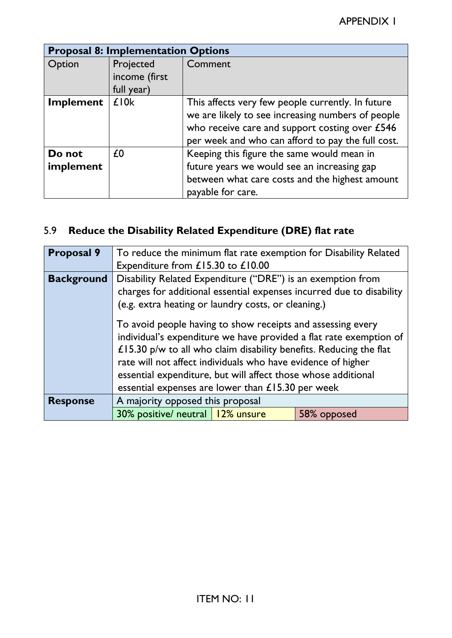| <b>Proposal 8: Implementation Options</b> |                            |                                                                                                                                                                                                               |
|-------------------------------------------|----------------------------|---------------------------------------------------------------------------------------------------------------------------------------------------------------------------------------------------------------|
| Option                                    | Projected<br>income (first | Comment                                                                                                                                                                                                       |
|                                           | full year)                 |                                                                                                                                                                                                               |
| Implement                                 | £10k                       | This affects very few people currently. In future<br>we are likely to see increasing numbers of people<br>who receive care and support costing over £546<br>per week and who can afford to pay the full cost. |
| Do not<br>implement                       | £0                         | Keeping this figure the same would mean in<br>future years we would see an increasing gap<br>between what care costs and the highest amount<br>payable for care.                                              |

# 5.9 **Reduce the Disability Related Expenditure (DRE) flat rate**

| <b>Proposal 9</b> | To reduce the minimum flat rate exemption for Disability Related<br>Expenditure from £15.30 to £10.00                                                                                                                                                                                                                                                                                         |  |  |
|-------------------|-----------------------------------------------------------------------------------------------------------------------------------------------------------------------------------------------------------------------------------------------------------------------------------------------------------------------------------------------------------------------------------------------|--|--|
| <b>Background</b> | Disability Related Expenditure ("DRE") is an exemption from<br>charges for additional essential expenses incurred due to disability<br>(e.g. extra heating or laundry costs, or cleaning.)                                                                                                                                                                                                    |  |  |
|                   | To avoid people having to show receipts and assessing every<br>individual's expenditure we have provided a flat rate exemption of<br>£15.30 p/w to all who claim disability benefits. Reducing the flat<br>rate will not affect individuals who have evidence of higher<br>essential expenditure, but will affect those whose additional<br>essential expenses are lower than £15.30 per week |  |  |
| <b>Response</b>   | A majority opposed this proposal                                                                                                                                                                                                                                                                                                                                                              |  |  |
|                   | 30% positive/ neutral   12% unsure<br>58% opposed                                                                                                                                                                                                                                                                                                                                             |  |  |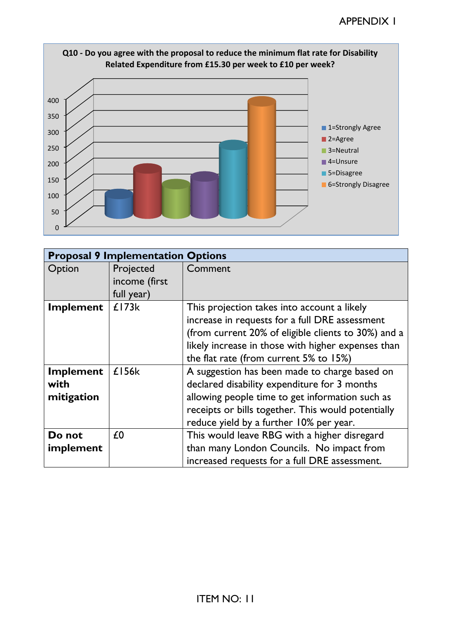

|                                        | <b>Proposal 9 Implementation Options</b> |                                                                                                                                                                                                                                                      |
|----------------------------------------|------------------------------------------|------------------------------------------------------------------------------------------------------------------------------------------------------------------------------------------------------------------------------------------------------|
| Option                                 | Projected<br>income (first<br>full year) | Comment                                                                                                                                                                                                                                              |
| <b>Implement</b>                       | £173k                                    | This projection takes into account a likely<br>increase in requests for a full DRE assessment<br>(from current 20% of eligible clients to 30%) and a<br>likely increase in those with higher expenses than<br>the flat rate (from current 5% to 15%) |
| <b>Implement</b><br>with<br>mitigation | £156k                                    | A suggestion has been made to charge based on<br>declared disability expenditure for 3 months<br>allowing people time to get information such as<br>receipts or bills together. This would potentially<br>reduce yield by a further 10% per year.    |
| Do not<br>implement                    | £0                                       | This would leave RBG with a higher disregard<br>than many London Councils. No impact from<br>increased requests for a full DRE assessment.                                                                                                           |

# **Q10 - Do you agree with the proposal to reduce the minimum flat rate for Disability**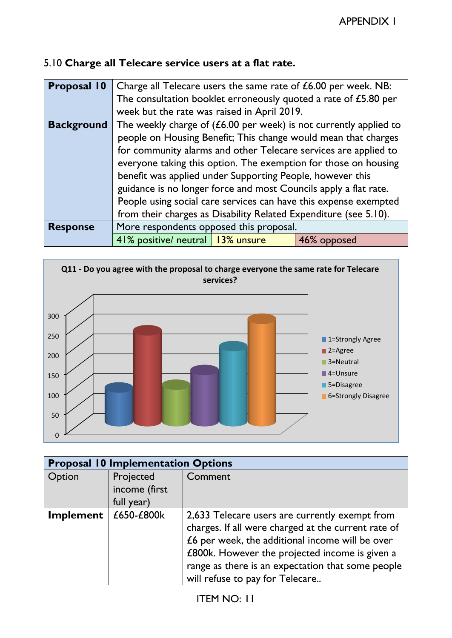# 5.10 **Charge all Telecare service users at a flat rate.**

| <b>Proposal 10</b> | Charge all Telecare users the same rate of £6.00 per week. NB:      |  |  |  |
|--------------------|---------------------------------------------------------------------|--|--|--|
|                    | The consultation booklet erroneously quoted a rate of £5.80 per     |  |  |  |
|                    | week but the rate was raised in April 2019.                         |  |  |  |
| <b>Background</b>  | The weekly charge of $(£6.00$ per week) is not currently applied to |  |  |  |
|                    | people on Housing Benefit; This change would mean that charges      |  |  |  |
|                    | for community alarms and other Telecare services are applied to     |  |  |  |
|                    | everyone taking this option. The exemption for those on housing     |  |  |  |
|                    | benefit was applied under Supporting People, however this           |  |  |  |
|                    | guidance is no longer force and most Councils apply a flat rate.    |  |  |  |
|                    | People using social care services can have this expense exempted    |  |  |  |
|                    | from their charges as Disability Related Expenditure (see 5.10).    |  |  |  |
| <b>Response</b>    | More respondents opposed this proposal.                             |  |  |  |
|                    | 41% positive/ neutral   13% unsure<br>46% opposed                   |  |  |  |



| <b>Proposal 10 Implementation Options</b> |               |                                                     |
|-------------------------------------------|---------------|-----------------------------------------------------|
| Option                                    | Projected     | Comment                                             |
|                                           | income (first |                                                     |
|                                           | full year)    |                                                     |
| <b>Implement</b>                          | £650-£800k    | 2,633 Telecare users are currently exempt from      |
|                                           |               | charges. If all were charged at the current rate of |
|                                           |               | £6 per week, the additional income will be over     |
|                                           |               | £800k. However the projected income is given a      |
|                                           |               | range as there is an expectation that some people   |
|                                           |               | will refuse to pay for Telecare                     |

# ITEM NO: 11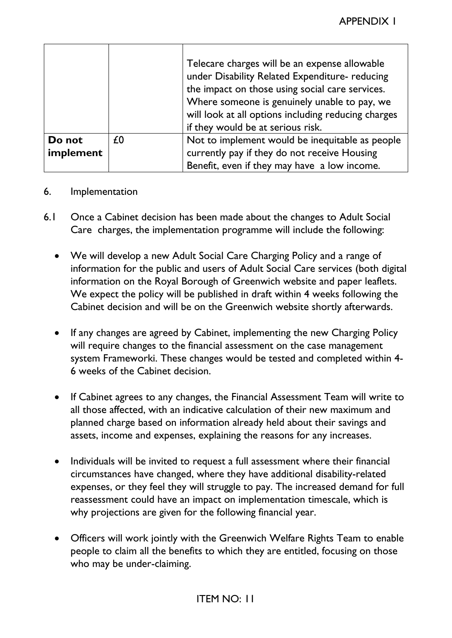|                     |    | Telecare charges will be an expense allowable<br>under Disability Related Expenditure- reducing<br>the impact on those using social care services.<br>Where someone is genuinely unable to pay, we<br>will look at all options including reducing charges<br>if they would be at serious risk. |
|---------------------|----|------------------------------------------------------------------------------------------------------------------------------------------------------------------------------------------------------------------------------------------------------------------------------------------------|
| Do not<br>implement | £0 | Not to implement would be inequitable as people<br>currently pay if they do not receive Housing<br>Benefit, even if they may have a low income.                                                                                                                                                |

#### 6. Implementation

- 6.1 Once a Cabinet decision has been made about the changes to Adult Social Care charges, the implementation programme will include the following:
	- We will develop a new Adult Social Care Charging Policy and a range of information for the public and users of Adult Social Care services (both digital information on the Royal Borough of Greenwich website and paper leaflets. We expect the policy will be published in draft within 4 weeks following the Cabinet decision and will be on the Greenwich website shortly afterwards.
	- If any changes are agreed by Cabinet, implementing the new Charging Policy will require changes to the financial assessment on the case management system Frameworki. These changes would be tested and completed within 4- 6 weeks of the Cabinet decision.
	- If Cabinet agrees to any changes, the Financial Assessment Team will write to all those affected, with an indicative calculation of their new maximum and planned charge based on information already held about their savings and assets, income and expenses, explaining the reasons for any increases.
	- Individuals will be invited to request a full assessment where their financial circumstances have changed, where they have additional disability-related expenses, or they feel they will struggle to pay. The increased demand for full reassessment could have an impact on implementation timescale, which is why projections are given for the following financial year.
	- Officers will work jointly with the Greenwich Welfare Rights Team to enable people to claim all the benefits to which they are entitled, focusing on those who may be under-claiming.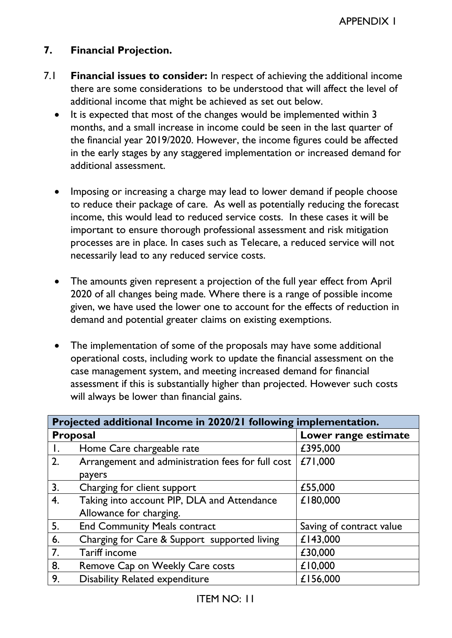## **7. Financial Projection.**

- 7.1 **Financial issues to consider:** In respect of achieving the additional income there are some considerations to be understood that will affect the level of additional income that might be achieved as set out below.
	- It is expected that most of the changes would be implemented within 3 months, and a small increase in income could be seen in the last quarter of the financial year 2019/2020. However, the income figures could be affected in the early stages by any staggered implementation or increased demand for additional assessment.
	- Imposing or increasing a charge may lead to lower demand if people choose to reduce their package of care. As well as potentially reducing the forecast income, this would lead to reduced service costs. In these cases it will be important to ensure thorough professional assessment and risk mitigation processes are in place. In cases such as Telecare, a reduced service will not necessarily lead to any reduced service costs.
	- The amounts given represent a projection of the full year effect from April 2020 of all changes being made. Where there is a range of possible income given, we have used the lower one to account for the effects of reduction in demand and potential greater claims on existing exemptions.
	- The implementation of some of the proposals may have some additional operational costs, including work to update the financial assessment on the case management system, and meeting increased demand for financial assessment if this is substantially higher than projected. However such costs will always be lower than financial gains.

| Projected additional Income in 2020/21 following implementation. |                                                   |                          |
|------------------------------------------------------------------|---------------------------------------------------|--------------------------|
| <b>Proposal</b>                                                  |                                                   | Lower range estimate     |
| Ι.                                                               | Home Care chargeable rate                         | £395,000                 |
| 2.                                                               | Arrangement and administration fees for full cost | £71,000                  |
|                                                                  | payers                                            |                          |
| 3.                                                               | Charging for client support                       | £55,000                  |
| 4.                                                               | Taking into account PIP, DLA and Attendance       | £180,000                 |
|                                                                  | Allowance for charging.                           |                          |
| 5.                                                               | <b>End Community Meals contract</b>               | Saving of contract value |
| 6.                                                               | Charging for Care & Support supported living      | £143,000                 |
| 7.                                                               | Tariff income                                     | £30,000                  |
| 8.                                                               | Remove Cap on Weekly Care costs                   | £10,000                  |
| 9.                                                               | <b>Disability Related expenditure</b>             | £156,000                 |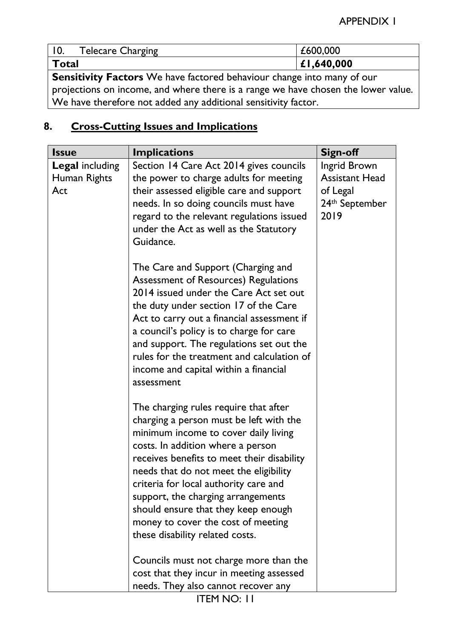| <b>Telecare Charging</b>                                                         | £600,000 |  |
|----------------------------------------------------------------------------------|----------|--|
| L1,640,000<br>  Total                                                            |          |  |
| <b>Sansitivity Eactors</b> $M_0$ have factored behaviour change into many of our |          |  |

**Sensitivity Factors** We have factored behaviour change into many of our projections on income, and where there is a range we have chosen the lower value. We have therefore not added any additional sensitivity factor.

# **8. Cross-Cutting Issues and Implications**

| <b>Issue</b>           | <b>Implications</b>                        | <b>Sign-off</b>            |
|------------------------|--------------------------------------------|----------------------------|
| <b>Legal including</b> | Section 14 Care Act 2014 gives councils    | Ingrid Brown               |
| Human Rights           | the power to charge adults for meeting     | <b>Assistant Head</b>      |
| Act                    | their assessed eligible care and support   | of Legal                   |
|                        | needs. In so doing councils must have      | 24 <sup>th</sup> September |
|                        | regard to the relevant regulations issued  | 2019                       |
|                        | under the Act as well as the Statutory     |                            |
|                        | Guidance.                                  |                            |
|                        | The Care and Support (Charging and         |                            |
|                        | Assessment of Resources) Regulations       |                            |
|                        | 2014 issued under the Care Act set out     |                            |
|                        | the duty under section 17 of the Care      |                            |
|                        | Act to carry out a financial assessment if |                            |
|                        | a council's policy is to charge for care   |                            |
|                        | and support. The regulations set out the   |                            |
|                        | rules for the treatment and calculation of |                            |
|                        | income and capital within a financial      |                            |
|                        | assessment                                 |                            |
|                        | The charging rules require that after      |                            |
|                        | charging a person must be left with the    |                            |
|                        | minimum income to cover daily living       |                            |
|                        | costs. In addition where a person          |                            |
|                        | receives benefits to meet their disability |                            |
|                        | needs that do not meet the eligibility     |                            |
|                        | criteria for local authority care and      |                            |
|                        | support, the charging arrangements         |                            |
|                        | should ensure that they keep enough        |                            |
|                        | money to cover the cost of meeting         |                            |
|                        | these disability related costs.            |                            |
|                        | Councils must not charge more than the     |                            |
|                        | cost that they incur in meeting assessed   |                            |
|                        | needs. They also cannot recover any        |                            |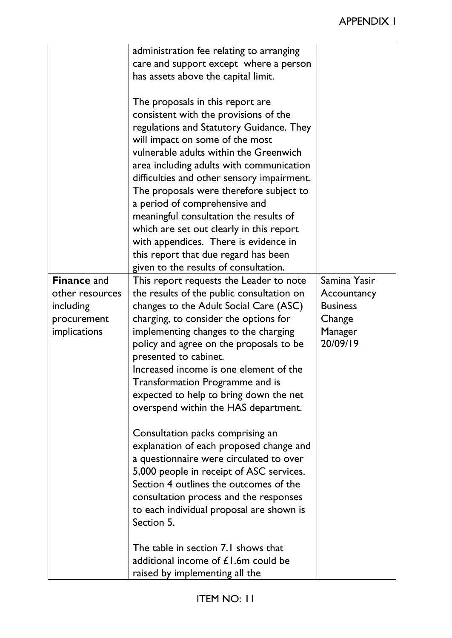|                                                                                          | administration fee relating to arranging<br>care and support except where a person<br>has assets above the capital limit.                                                                                                                                                                                                                                                                                                                                                                                                                                                                |                                                                                 |
|------------------------------------------------------------------------------------------|------------------------------------------------------------------------------------------------------------------------------------------------------------------------------------------------------------------------------------------------------------------------------------------------------------------------------------------------------------------------------------------------------------------------------------------------------------------------------------------------------------------------------------------------------------------------------------------|---------------------------------------------------------------------------------|
|                                                                                          | The proposals in this report are<br>consistent with the provisions of the<br>regulations and Statutory Guidance. They<br>will impact on some of the most<br>vulnerable adults within the Greenwich<br>area including adults with communication<br>difficulties and other sensory impairment.<br>The proposals were therefore subject to<br>a period of comprehensive and<br>meaningful consultation the results of<br>which are set out clearly in this report<br>with appendices. There is evidence in<br>this report that due regard has been<br>given to the results of consultation. |                                                                                 |
| <b>Finance and</b><br>other resources<br>including<br>procurement<br><i>implications</i> | This report requests the Leader to note<br>the results of the public consultation on<br>changes to the Adult Social Care (ASC)<br>charging, to consider the options for<br>implementing changes to the charging<br>policy and agree on the proposals to be<br>presented to cabinet.<br>Increased income is one element of the<br>Transformation Programme and is<br>expected to help to bring down the net<br>overspend within the HAS department.<br>Consultation packs comprising an<br>explanation of each proposed change and<br>a questionnaire were circulated to over             | Samina Yasir<br>Accountancy<br><b>Business</b><br>Change<br>Manager<br>20/09/19 |
|                                                                                          | 5,000 people in receipt of ASC services.<br>Section 4 outlines the outcomes of the<br>consultation process and the responses<br>to each individual proposal are shown is<br>Section 5.<br>The table in section 7.1 shows that<br>additional income of $£1.6m$ could be<br>raised by implementing all the                                                                                                                                                                                                                                                                                 |                                                                                 |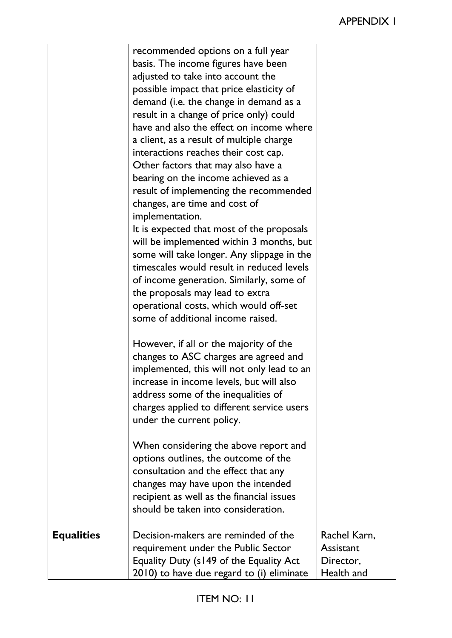|                   | recommended options on a full year<br>basis. The income figures have been<br>adjusted to take into account the<br>possible impact that price elasticity of<br>demand (i.e. the change in demand as a<br>result in a change of price only) could<br>have and also the effect on income where<br>a client, as a result of multiple charge<br>interactions reaches their cost cap.<br>Other factors that may also have a<br>bearing on the income achieved as a<br>result of implementing the recommended<br>changes, are time and cost of<br>implementation.<br>It is expected that most of the proposals<br>will be implemented within 3 months, but<br>some will take longer. Any slippage in the<br>timescales would result in reduced levels<br>of income generation. Similarly, some of<br>the proposals may lead to extra<br>operational costs, which would off-set<br>some of additional income raised.<br>However, if all or the majority of the<br>changes to ASC charges are agreed and<br>implemented, this will not only lead to an<br>increase in income levels, but will also<br>address some of the inequalities of<br>charges applied to different service users<br>under the current policy.<br>When considering the above report and<br>options outlines, the outcome of the<br>consultation and the effect that any<br>changes may have upon the intended<br>recipient as well as the financial issues |                                                      |
|-------------------|-------------------------------------------------------------------------------------------------------------------------------------------------------------------------------------------------------------------------------------------------------------------------------------------------------------------------------------------------------------------------------------------------------------------------------------------------------------------------------------------------------------------------------------------------------------------------------------------------------------------------------------------------------------------------------------------------------------------------------------------------------------------------------------------------------------------------------------------------------------------------------------------------------------------------------------------------------------------------------------------------------------------------------------------------------------------------------------------------------------------------------------------------------------------------------------------------------------------------------------------------------------------------------------------------------------------------------------------------------------------------------------------------------------------------|------------------------------------------------------|
|                   | should be taken into consideration.                                                                                                                                                                                                                                                                                                                                                                                                                                                                                                                                                                                                                                                                                                                                                                                                                                                                                                                                                                                                                                                                                                                                                                                                                                                                                                                                                                                     |                                                      |
| <b>Equalities</b> | Decision-makers are reminded of the<br>requirement under the Public Sector<br>Equality Duty (s149 of the Equality Act<br>2010) to have due regard to (i) eliminate                                                                                                                                                                                                                                                                                                                                                                                                                                                                                                                                                                                                                                                                                                                                                                                                                                                                                                                                                                                                                                                                                                                                                                                                                                                      | Rachel Karn,<br>Assistant<br>Director,<br>Health and |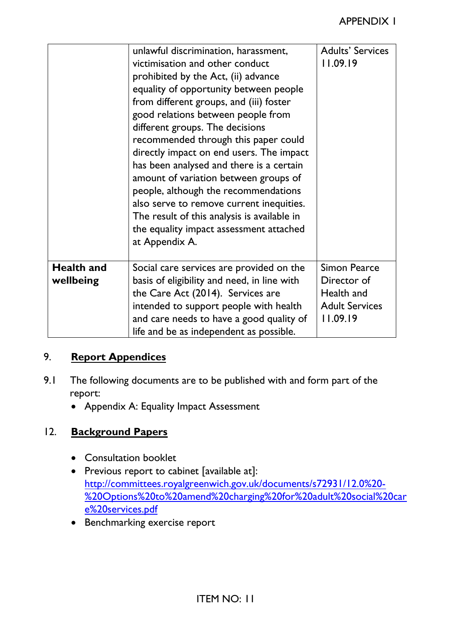|                                | unlawful discrimination, harassment,<br>victimisation and other conduct<br>prohibited by the Act, (ii) advance<br>equality of opportunity between people<br>from different groups, and (iii) foster<br>good relations between people from<br>different groups. The decisions<br>recommended through this paper could<br>directly impact on end users. The impact<br>has been analysed and there is a certain<br>amount of variation between groups of<br>people, although the recommendations<br>also serve to remove current inequities.<br>The result of this analysis is available in<br>the equality impact assessment attached<br>at Appendix A. | <b>Adults' Services</b><br>11.09.19                                                   |
|--------------------------------|-------------------------------------------------------------------------------------------------------------------------------------------------------------------------------------------------------------------------------------------------------------------------------------------------------------------------------------------------------------------------------------------------------------------------------------------------------------------------------------------------------------------------------------------------------------------------------------------------------------------------------------------------------|---------------------------------------------------------------------------------------|
| <b>Health and</b><br>wellbeing | Social care services are provided on the<br>basis of eligibility and need, in line with<br>the Care Act (2014). Services are<br>intended to support people with health<br>and care needs to have a good quality of<br>life and be as independent as possible.                                                                                                                                                                                                                                                                                                                                                                                         | <b>Simon Pearce</b><br>Director of<br>Health and<br><b>Adult Services</b><br>11.09.19 |

## 9. **Report Appendices**

- 9.1 The following documents are to be published with and form part of the report:
	- Appendix A: Equality Impact Assessment

## 12. **Background Papers**

- Consultation booklet
- Previous report to cabinet [available at]: [http://committees.royalgreenwich.gov.uk/documents/s72931/12.0%20-](http://committees.royalgreenwich.gov.uk/documents/s72931/12.0%20-%20Options%20to%20amend%20charging%20for%20adult%20social%20care%20services.pdf) [%20Options%20to%20amend%20charging%20for%20adult%20social%20car](http://committees.royalgreenwich.gov.uk/documents/s72931/12.0%20-%20Options%20to%20amend%20charging%20for%20adult%20social%20care%20services.pdf) [e%20services.pdf](http://committees.royalgreenwich.gov.uk/documents/s72931/12.0%20-%20Options%20to%20amend%20charging%20for%20adult%20social%20care%20services.pdf)
- Benchmarking exercise report